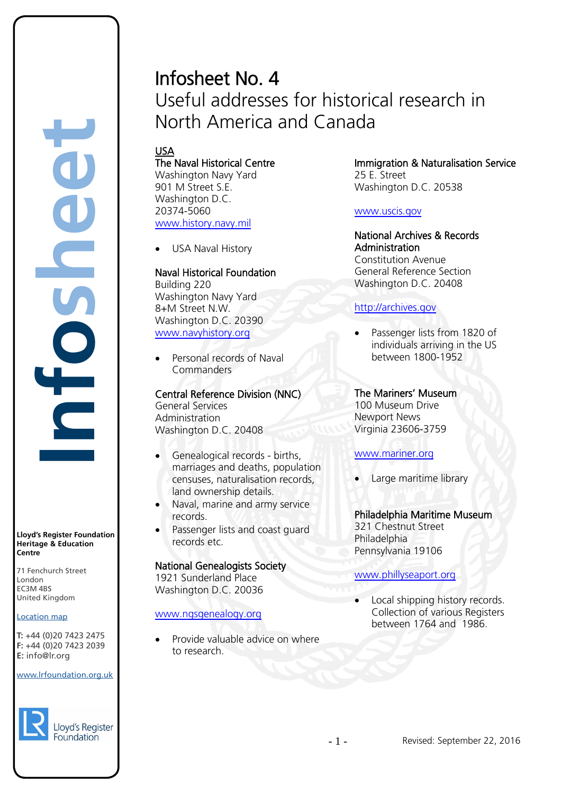# Infosheet No. 4 Useful addresses for historical research in North America and Canada

# USA

The Naval Historical Centre Washington Navy Yard 901 M Street S.E. Washington D.C. 20374-5060 [www.history.navy.mil](http://www.history.navy.mil/)

USA Naval History

#### Naval Historical Foundation

Building 220 Washington Navy Yard 8+M Street N.W. Washington D.C. 20390 [www.navyhistory.org](http://www.navyhistory.org/)

• Personal records of Naval **Commanders** 

Central Reference Division (NNC) General Services Administration Washington D.C. 20408

- Genealogical records births, marriages and deaths, population censuses, naturalisation records, land ownership details.
- Naval, marine and army service records.
- Passenger lists and coast guard records etc.

#### National Genealogists Society

1921 Sunderland Place Washington D.C. 20036

#### [www.ngsgenealogy.org](http://www.ngsgenealogy.org/)

• Provide valuable advice on where to research.

Immigration & Naturalisation Service 25 E. Street Washington D.C. 20538

#### [www.uscis.gov](http://www.uscis.gov/)

National Archives & Records Administration Constitution Avenue General Reference Section Washington D.C. 20408

#### [http://archives.gov](http://archives.gov/)

• Passenger lists from 1820 of individuals arriving in the US between 1800-1952

### The Mariners' Museum

100 Museum Drive Newport News Virginia 23606-3759

#### [www.mariner.org](http://www.mariner.org/)

• Large maritime library

#### Philadelphia Maritime Museum

321 Chestnut Street **Philadelphia** Pennsylvania 19106

#### [www.phillyseaport.org](http://www.phillyseaport.org/)

Local shipping history records. Collection of various Registers between 1764 and 1986.

www.lrfoundation.org.uk

 $F \rightarrow (0/20, 1 + 2)$ 



Lloyd's Register Foundation

**Centre** 71 Fenchurch Street London Information Services EC3M 4BS rd's Register Foundat<br>
itage & Education<br>
tre<br>
Eenchurch Street<br>
don<br>
M 4BS<br>
ted Kingdom<br>
ation map<br>
44 (0)20 7423 2475<br>
44 (0)20 7423 2039<br>
nfo@lr.org

United Kingdom

**E:** info@lr.org

Location map T: +44 (0)20 7423 2475 **F:** +44 (0)20 7423 2039 Fax: +44 (0)20 7423 2039

EC3M 4BS

**Lloyd's Register Foundation Heritage & Education**

**Infosheet**

f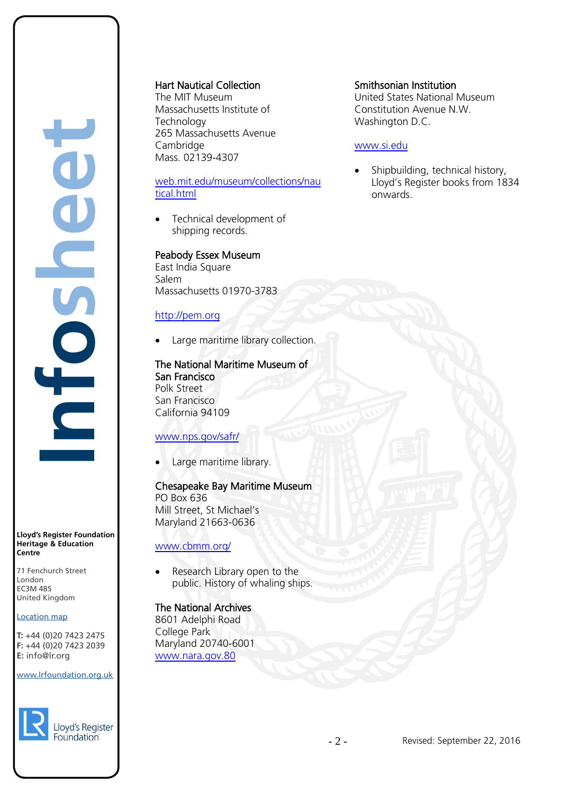# **Infosheet** J rd's Register Foundat<br>
itage & Education<br>
tre<br>
Eenchurch Street<br>
don<br>
M 4BS<br>
ted Kingdom<br>
ation map<br>
44 (0)20 7423 2475<br>
44 (0)20 7423 2039<br>
nfo@lr.org CHOS

**Lloyd's Register Foundation Heritage & Education Centre**

71 Fenchurch Street London Information Services EC3M 4BS United Kingdom EC3M 4BS

#### Location map

T: +44 (0)20 7423 2475 **F:** +44 (0)20 7423 2039 Fax: +44 (0)20 7423 2039 **E:** info@lr.org  $F \rightarrow (0/20, 1 + 2)$ 

#### www.lrfoundation.org.uk



Hart Nautical Collection

The MIT Museum Massachusetts Institute of **Technology** 265 Massachusetts Avenue Cambridge Mass. 02139-4307

#### [web.mit.edu/museum/collections/nau](http://web.mit.edu/museum/collections/nautical.html) [tical.html](http://web.mit.edu/museum/collections/nautical.html)

Technical development of shipping records.

#### Peabody Essex Museum

East India Square Salem Massachusetts 01970-3783

#### [http://pem.org](http://pem.org/)

Large maritime library collection.

#### The National Maritime Museum of San Francisco Polk Street San Francisco

California 94109

#### [www.nps.gov/safr/](http://www.nps.gov/safr/)

Large maritime library.

#### Chesapeake Bay Maritime Museum

PO Box 636 Mill Street, St Michael's Maryland 21663-0636

[www.cbmm.org/](http://www.cbmm.org/)

Research Library open to the public. History of whaling ships.

# The National Archives

8601 Adelphi Road College Park Maryland 20740-6001 [www.nara.gov.80](http://www.nara.gov.80/)

#### Smithsonian Institution

United States National Museum Constitution Avenue N.W. Washington D.C.

#### [www.si.edu](http://www.si.edu/)

• Shipbuilding, technical history, Lloyd's Register books from 1834 onwards.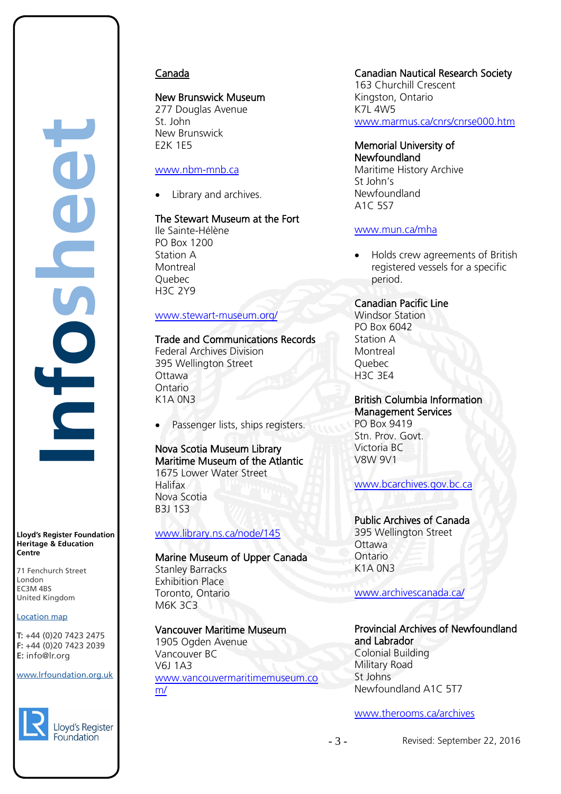

**Lloyd's Register Foundation Heritage & Education Centre**

71 Fenchurch Street London Information Services EC3M 4BS United Kingdom EC3M 4BS

#### Location map

T: +44 (0)20 7423 2475 **F:** +44 (0)20 7423 2039 Fax: +44 (0)20 7423 2039 **E:** info@lr.org Email: histinfo@lr.org

#### www.lrfoundation.org.uk



Lloyd's Register Foundation

#### Canada

#### New Brunswick Museum

277 Douglas Avenue St. John New Brunswick E2K 1E5

#### [www.nbm-mnb.ca](http://www.nbm-mnb.ca/)

Library and archives.

#### The Stewart Museum at the Fort

Ile Sainte-Hélène PO Box 1200 Station A **Montreal** Quebec H3C 2Y9

#### [www.stewart-museum.org/](http://www.stewart-museum.org/)

#### Trade and Communications Records

Federal Archives Division 395 Wellington Street Ottawa Ontario K1A 0N3

Passenger lists, ships registers.

#### Nova Scotia Museum Library Maritime Museum of the Atlantic 1675 Lower Water Street Halifax

Nova Scotia B3J 1S3

#### [www.library.ns.ca/node/145](http://www.library.ns.ca/node/145)

#### Marine Museum of Upper Canada

Stanley Barracks Exhibition Place Toronto, Ontario M6K 3C3

#### Vancouver Maritime Museum

1905 Ogden Avenue Vancouver BC V6J 1A3 [www.vancouvermaritimemuseum.co](http://www.vancouvermaritimemuseum.com/) [m/](http://www.vancouvermaritimemuseum.com/)

#### Canadian Nautical Research Society

163 Churchill Crescent Kingston, Ontario  $K7I$   $4W5$ [www.marmus.ca/cnrs/cnrse000.htm](http://www.marmus.ca/cnrs/cnrse000.htm)

#### Memorial University of Newfoundland

Maritime History Archive St John's Newfoundland A1C 5S7

#### [www.mun.ca/mha](http://www.mun.ca/mha)

• Holds crew agreements of British registered vessels for a specific period.

#### Canadian Pacific Line

Windsor Station PO Box 6042 Station A **Montreal** Quebec H3C 3E4

# British Columbia Information

Management Services PO Box 9419 Stn. Prov. Govt. Victoria BC V8W 9V1

[www.bcarchives.gov.bc.ca](http://www.bcarchives.gov.bc.ca/)

#### Public Archives of Canada

395 Wellington Street **Ottawa** Ontario K1A 0N3

[www.archivescanada.ca/](http://www.archivescanada.ca/)

#### Provincial Archives of Newfoundland and Labrador Colonial Building

Military Road St Johns Newfoundland A1C 5T7

[www.therooms.ca/archives](http://www.therooms.ca/archives)

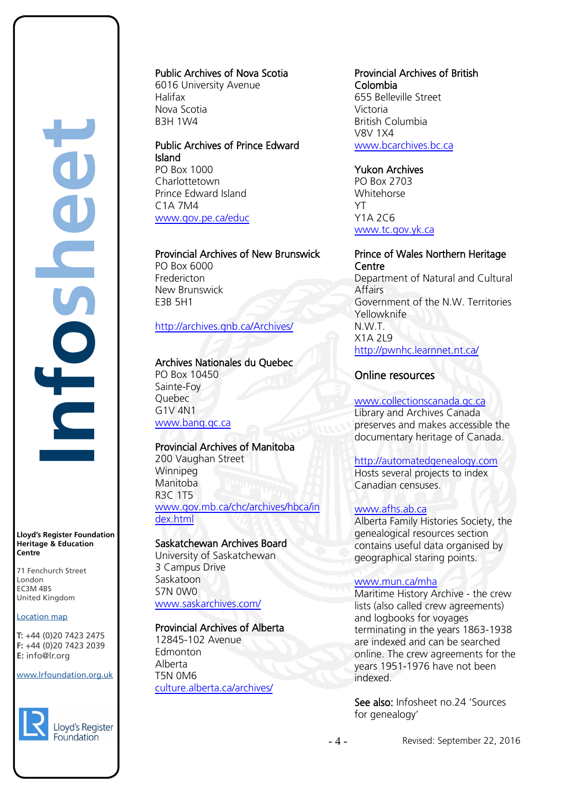**Infosheet** rd's Register Foundat<br>
itage & Education<br>
tre<br>
Eenchurch Street<br>
don<br>
M 4BS<br>
ted Kingdom<br>
ation map<br>
44 (0)20 7423 2475<br>
44 (0)20 7423 2039<br>
nfo@lr.org É

**Lloyd's Register Foundation Heritage & Education Centre**

71 Fenchurch Street London Information Services EC3M 4BS United Kingdom

#### Location map

T: +44 (0)20 7423 2475 **F:** +44 (0)20 7423 2039 Fax: +44 (0)20 7423 2039 **E:** info@lr.org  $F \rightarrow (0/20.7 + 25.205)$ 

EC3M 4BS

#### www.lrfoundation.org.uk



Public Archives of Nova Scotia 6016 University Avenue

Halifax Nova Scotia B3H 1W4

Public Archives of Prince Edward Island PO Box 1000 Charlottetown Prince Edward Island C1A 7M4 [www.gov.pe.ca/educ](http://www.gov.pe.ca/educ)

Provincial Archives of New Brunswick PO Box 6000 Fredericton New Brunswick E3B 5H1

#### <http://archives.gnb.ca/Archives/>

# Archives Nationales du Quebec

PO Box 10450 Sainte-Foy Quebec G1V 4N1 [www.banq.qc.ca](http://www.banq.qc.ca/)

#### Provincial Archives of Manitoba

200 Vaughan Street Winnipeg Manitoba R3C 1T5 [www.gov.mb.ca/chc/archives/hbca/in](http://www.gov.mb.ca/chc/archives/hbca/index.html) [dex.html](http://www.gov.mb.ca/chc/archives/hbca/index.html)

#### Saskatchewan Archives Board

University of Saskatchewan 3 Campus Drive **Saskatoon** S7N 0W0 [www.saskarchives.com/](http://www.saskarchives.com/)

#### Provincial Archives of Alberta

12845-102 Avenue Edmonton Alberta T5N 0M6 [culture.alberta.ca/archives/](http://culture.alberta.ca/archives/)

#### Provincial Archives of British Colombia 655 Belleville Street Victoria British Columbia

V8V 1X4 [www.bcarchives.bc.ca](http://www.bcarchives.bc.ca/)

#### Yukon Archives

PO Box 2703 Whitehorse YT Y1A 2C6 [www.tc.gov.yk.ca](http://www.tc.gov.yk.ca/)

#### Prince of Wales Northern Heritage **Centre**

Department of Natural and Cultural Affairs Government of the N.W. Territories Yellowknife N.W.T. X1A 2L9 <http://pwnhc.learnnet.nt.ca/>

#### Online resources

# [www.collectionscanada.gc.ca](http://www.collectionscanada.gc.ca/)

Library and Archives Canada preserves and makes accessible the documentary heritage of Canada.

#### [http://automatedgenealogy.com](http://automatedgenealogy.com/)

Hosts several projects to index Canadian censuses.

#### [www.afhs.ab.ca](http://www.afhs.ab.ca/)

Alberta Family Histories Society, the genealogical resources section contains useful data organised by geographical staring points.

#### [www.mun.ca/mha](http://www.mun.ca/mha)

Maritime History Archive - the crew lists (also called crew agreements) and logbooks for voyages terminating in the years 1863-1938 are indexed and can be searched online. The crew agreements for the years 1951-1976 have not been indexed.

See also: Infosheet no.24 'Sources for genealogy'